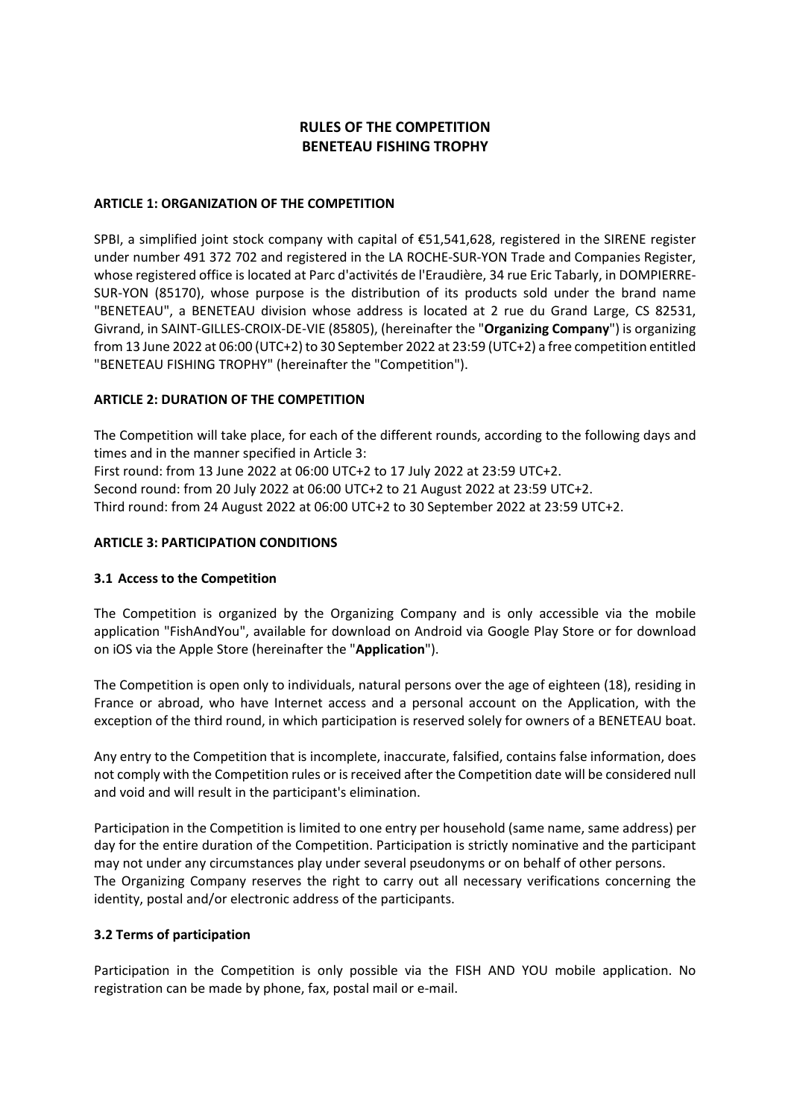## **RULES OF THE COMPETITION BENETEAU FISHING TROPHY**

#### **ARTICLE 1: ORGANIZATION OF THE COMPETITION**

SPBI, a simplified joint stock company with capital of  $\epsilon$ 51,541,628, registered in the SIRENE register under number 491 372 702 and registered in the LA ROCHE-SUR-YON Trade and Companies Register, whose registered office is located at Parc d'activités de l'Eraudière, 34 rue Eric Tabarly, in DOMPIERRE-SUR-YON (85170), whose purpose is the distribution of its products sold under the brand name "BENETEAU", a BENETEAU division whose address is located at 2 rue du Grand Large, CS 82531, Givrand, in SAINT-GILLES-CROIX-DE-VIE (85805), (hereinafter the "**Organizing Company**") is organizing from 13 June 2022 at 06:00 (UTC+2) to 30 September 2022 at 23:59 (UTC+2) a free competition entitled "BENETEAU FISHING TROPHY" (hereinafter the "Competition").

#### **ARTICLE 2: DURATION OF THE COMPETITION**

The Competition will take place, for each of the different rounds, according to the following days and times and in the manner specified in Article 3: First round: from 13 June 2022 at 06:00 UTC+2 to 17 July 2022 at 23:59 UTC+2. Second round: from 20 July 2022 at 06:00 UTC+2 to 21 August 2022 at 23:59 UTC+2. Third round: from 24 August 2022 at 06:00 UTC+2 to 30 September 2022 at 23:59 UTC+2.

#### **ARTICLE 3: PARTICIPATION CONDITIONS**

## **3.1 Access to the Competition**

The Competition is organized by the Organizing Company and is only accessible via the mobile application "FishAndYou", available for download on Android via Google Play Store or for download on iOS via the Apple Store (hereinafter the "**Application**").

The Competition is open only to individuals, natural persons over the age of eighteen (18), residing in France or abroad, who have Internet access and a personal account on the Application, with the exception of the third round, in which participation is reserved solely for owners of a BENETEAU boat.

Any entry to the Competition that is incomplete, inaccurate, falsified, contains false information, does not comply with the Competition rules or is received after the Competition date will be considered null and void and will result in the participant's elimination.

Participation in the Competition is limited to one entry per household (same name, same address) per day for the entire duration of the Competition. Participation is strictly nominative and the participant may not under any circumstances play under several pseudonyms or on behalf of other persons. The Organizing Company reserves the right to carry out all necessary verifications concerning the identity, postal and/or electronic address of the participants.

#### **3.2 Terms of participation**

Participation in the Competition is only possible via the FISH AND YOU mobile application. No registration can be made by phone, fax, postal mail or e-mail.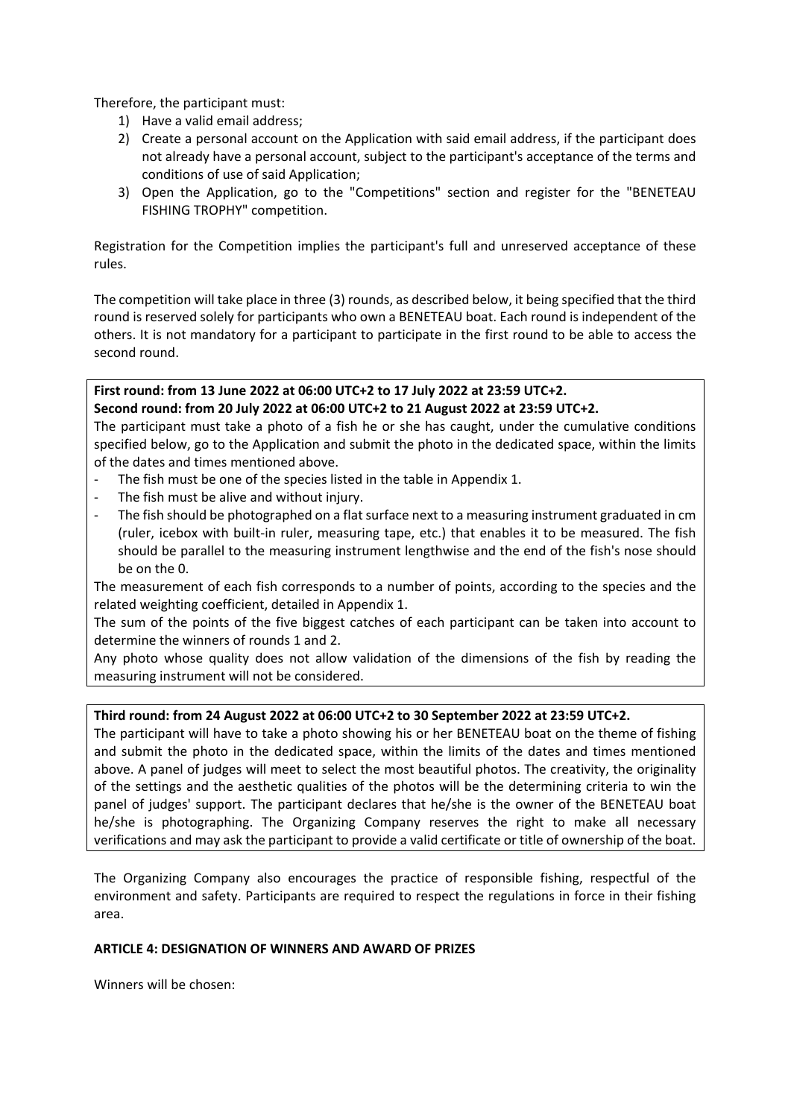Therefore, the participant must:

- 1) Have a valid email address;
- 2) Create a personal account on the Application with said email address, if the participant does not already have a personal account, subject to the participant's acceptance of the terms and conditions of use of said Application;
- 3) Open the Application, go to the "Competitions" section and register for the "BENETEAU FISHING TROPHY" competition.

Registration for the Competition implies the participant's full and unreserved acceptance of these rules.

The competition will take place in three (3) rounds, as described below, it being specified that the third round is reserved solely for participants who own a BENETEAU boat. Each round is independent of the others. It is not mandatory for a participant to participate in the first round to be able to access the second round.

#### **First round: from 13 June 2022 at 06:00 UTC+2 to 17 July 2022 at 23:59 UTC+2. Second round: from 20 July 2022 at 06:00 UTC+2 to 21 August 2022 at 23:59 UTC+2.**

The participant must take a photo of a fish he or she has caught, under the cumulative conditions specified below, go to the Application and submit the photo in the dedicated space, within the limits of the dates and times mentioned above.

- The fish must be one of the species listed in the table in Appendix 1.
- The fish must be alive and without injury.
- The fish should be photographed on a flat surface next to a measuring instrument graduated in cm (ruler, icebox with built-in ruler, measuring tape, etc.) that enables it to be measured. The fish should be parallel to the measuring instrument lengthwise and the end of the fish's nose should be on the 0.

The measurement of each fish corresponds to a number of points, according to the species and the related weighting coefficient, detailed in Appendix 1.

The sum of the points of the five biggest catches of each participant can be taken into account to determine the winners of rounds 1 and 2.

Any photo whose quality does not allow validation of the dimensions of the fish by reading the measuring instrument will not be considered.

## **Third round: from 24 August 2022 at 06:00 UTC+2 to 30 September 2022 at 23:59 UTC+2.**

The participant will have to take a photo showing his or her BENETEAU boat on the theme of fishing and submit the photo in the dedicated space, within the limits of the dates and times mentioned above. A panel of judges will meet to select the most beautiful photos. The creativity, the originality of the settings and the aesthetic qualities of the photos will be the determining criteria to win the panel of judges' support. The participant declares that he/she is the owner of the BENETEAU boat he/she is photographing. The Organizing Company reserves the right to make all necessary verifications and may ask the participant to provide a valid certificate or title of ownership of the boat.

The Organizing Company also encourages the practice of responsible fishing, respectful of the environment and safety. Participants are required to respect the regulations in force in their fishing area.

#### **ARTICLE 4: DESIGNATION OF WINNERS AND AWARD OF PRIZES**

Winners will be chosen: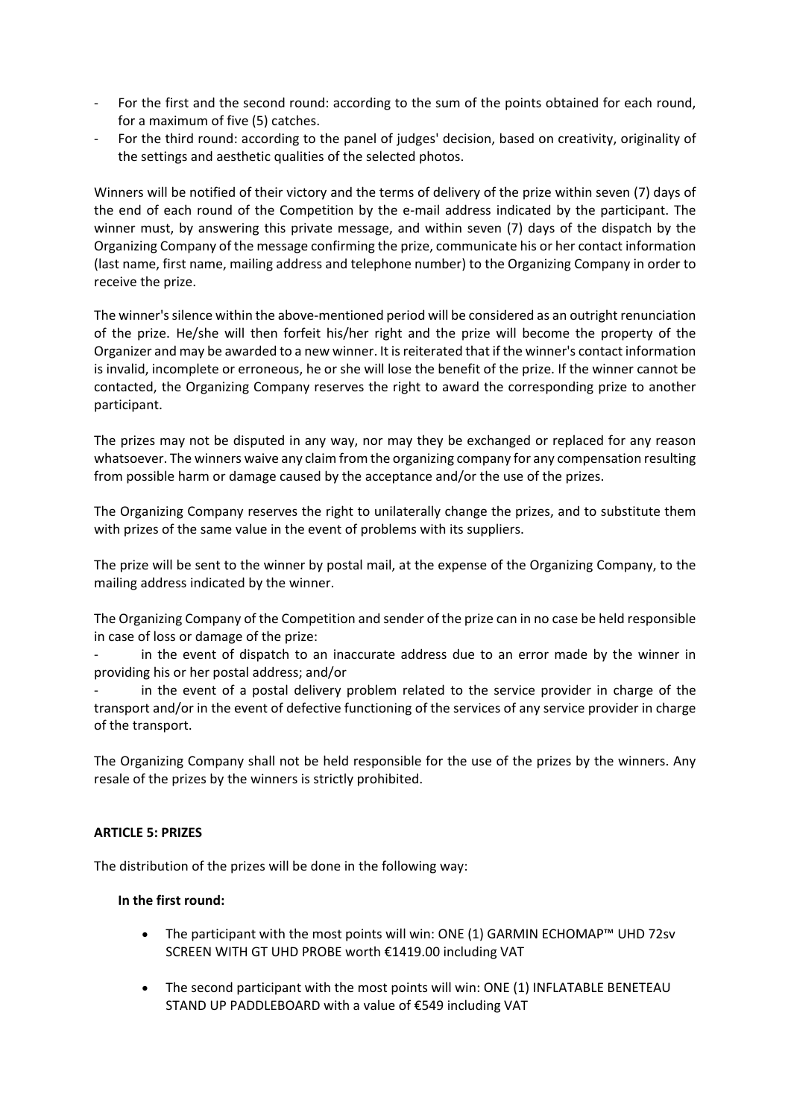- For the first and the second round: according to the sum of the points obtained for each round, for a maximum of five (5) catches.
- For the third round: according to the panel of judges' decision, based on creativity, originality of the settings and aesthetic qualities of the selected photos.

Winners will be notified of their victory and the terms of delivery of the prize within seven (7) days of the end of each round of the Competition by the e-mail address indicated by the participant. The winner must, by answering this private message, and within seven (7) days of the dispatch by the Organizing Company of the message confirming the prize, communicate his or her contact information (last name, first name, mailing address and telephone number) to the Organizing Company in order to receive the prize.

The winner's silence within the above-mentioned period will be considered as an outright renunciation of the prize. He/she will then forfeit his/her right and the prize will become the property of the Organizer and may be awarded to a new winner. It is reiterated that if the winner's contact information is invalid, incomplete or erroneous, he or she will lose the benefit of the prize. If the winner cannot be contacted, the Organizing Company reserves the right to award the corresponding prize to another participant.

The prizes may not be disputed in any way, nor may they be exchanged or replaced for any reason whatsoever. The winners waive any claim from the organizing company for any compensation resulting from possible harm or damage caused by the acceptance and/or the use of the prizes.

The Organizing Company reserves the right to unilaterally change the prizes, and to substitute them with prizes of the same value in the event of problems with its suppliers.

The prize will be sent to the winner by postal mail, at the expense of the Organizing Company, to the mailing address indicated by the winner.

The Organizing Company of the Competition and sender of the prize can in no case be held responsible in case of loss or damage of the prize:

in the event of dispatch to an inaccurate address due to an error made by the winner in providing his or her postal address; and/or

in the event of a postal delivery problem related to the service provider in charge of the transport and/or in the event of defective functioning of the services of any service provider in charge of the transport.

The Organizing Company shall not be held responsible for the use of the prizes by the winners. Any resale of the prizes by the winners is strictly prohibited.

#### **ARTICLE 5: PRIZES**

The distribution of the prizes will be done in the following way:

#### **In the first round:**

- The participant with the most points will win: ONE (1) GARMIN ECHOMAP™ UHD 72sv SCREEN WITH GT UHD PROBE worth €1419.00 including VAT
- The second participant with the most points will win: ONE (1) INFLATABLE BENETEAU STAND UP PADDLEBOARD with a value of €549 including VAT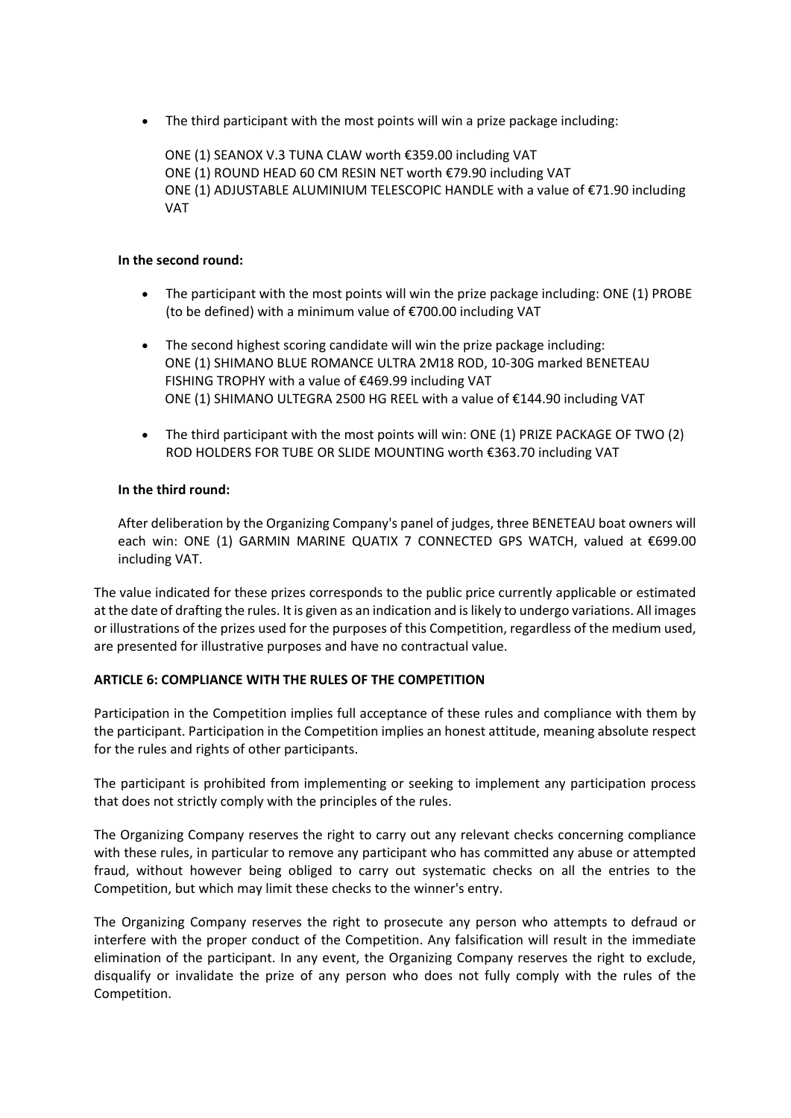• The third participant with the most points will win a prize package including:

ONE (1) SEANOX V.3 TUNA CLAW worth €359.00 including VAT ONE (1) ROUND HEAD 60 CM RESIN NET worth €79.90 including VAT ONE (1) ADJUSTABLE ALUMINIUM TELESCOPIC HANDLE with a value of €71.90 including VAT

#### **In the second round:**

- The participant with the most points will win the prize package including: ONE (1) PROBE (to be defined) with a minimum value of €700.00 including VAT
- The second highest scoring candidate will win the prize package including: ONE (1) SHIMANO BLUE ROMANCE ULTRA 2M18 ROD, 10-30G marked BENETEAU FISHING TROPHY with a value of €469.99 including VAT ONE (1) SHIMANO ULTEGRA 2500 HG REEL with a value of €144.90 including VAT
- The third participant with the most points will win: ONE (1) PRIZE PACKAGE OF TWO (2) ROD HOLDERS FOR TUBE OR SLIDE MOUNTING worth €363.70 including VAT

#### **In the third round:**

After deliberation by the Organizing Company's panel of judges, three BENETEAU boat owners will each win: ONE (1) GARMIN MARINE QUATIX 7 CONNECTED GPS WATCH, valued at €699.00 including VAT.

The value indicated for these prizes corresponds to the public price currently applicable or estimated at the date of drafting the rules. It is given as an indication and is likely to undergo variations. All images or illustrations of the prizes used for the purposes of this Competition, regardless of the medium used, are presented for illustrative purposes and have no contractual value.

## **ARTICLE 6: COMPLIANCE WITH THE RULES OF THE COMPETITION**

Participation in the Competition implies full acceptance of these rules and compliance with them by the participant. Participation in the Competition implies an honest attitude, meaning absolute respect for the rules and rights of other participants.

The participant is prohibited from implementing or seeking to implement any participation process that does not strictly comply with the principles of the rules.

The Organizing Company reserves the right to carry out any relevant checks concerning compliance with these rules, in particular to remove any participant who has committed any abuse or attempted fraud, without however being obliged to carry out systematic checks on all the entries to the Competition, but which may limit these checks to the winner's entry.

The Organizing Company reserves the right to prosecute any person who attempts to defraud or interfere with the proper conduct of the Competition. Any falsification will result in the immediate elimination of the participant. In any event, the Organizing Company reserves the right to exclude, disqualify or invalidate the prize of any person who does not fully comply with the rules of the Competition.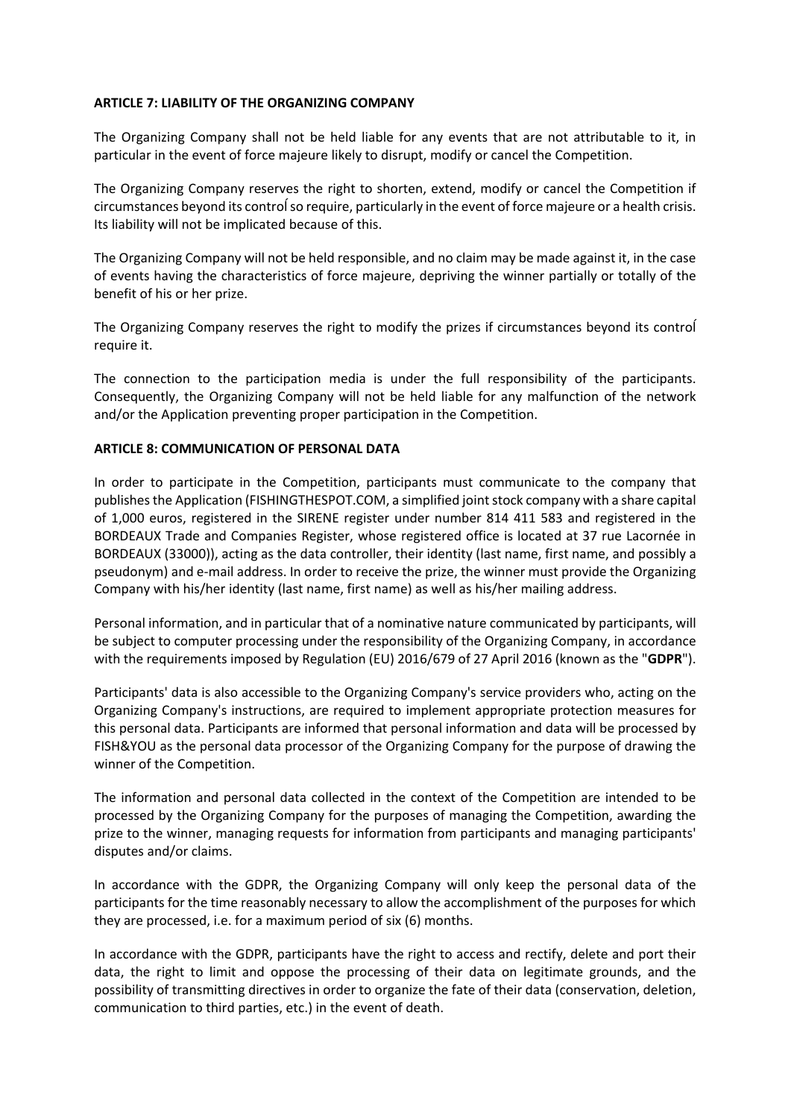#### **ARTICLE 7: LIABILITY OF THE ORGANIZING COMPANY**

The Organizing Company shall not be held liable for any events that are not attributable to it, in particular in the event of force majeure likely to disrupt, modify or cancel the Competition.

The Organizing Company reserves the right to shorten, extend, modify or cancel the Competition if circumstances beyond its controĺso require, particularly in the event of force majeure or a health crisis. Its liability will not be implicated because of this.

The Organizing Company will not be held responsible, and no claim may be made against it, in the case of events having the characteristics of force majeure, depriving the winner partially or totally of the benefit of his or her prize.

The Organizing Company reserves the right to modify the prizes if circumstances beyond its controĺ require it.

The connection to the participation media is under the full responsibility of the participants. Consequently, the Organizing Company will not be held liable for any malfunction of the network and/or the Application preventing proper participation in the Competition.

#### **ARTICLE 8: COMMUNICATION OF PERSONAL DATA**

In order to participate in the Competition, participants must communicate to the company that publishes the Application (FISHINGTHESPOT.COM, a simplified joint stock company with a share capital of 1,000 euros, registered in the SIRENE register under number 814 411 583 and registered in the BORDEAUX Trade and Companies Register, whose registered office is located at 37 rue Lacornée in BORDEAUX (33000)), acting as the data controller, their identity (last name, first name, and possibly a pseudonym) and e-mail address. In order to receive the prize, the winner must provide the Organizing Company with his/her identity (last name, first name) as well as his/her mailing address.

Personal information, and in particular that of a nominative nature communicated by participants, will be subject to computer processing under the responsibility of the Organizing Company, in accordance with the requirements imposed by Regulation (EU) 2016/679 of 27 April 2016 (known as the "**GDPR**").

Participants' data is also accessible to the Organizing Company's service providers who, acting on the Organizing Company's instructions, are required to implement appropriate protection measures for this personal data. Participants are informed that personal information and data will be processed by FISH&YOU as the personal data processor of the Organizing Company for the purpose of drawing the winner of the Competition.

The information and personal data collected in the context of the Competition are intended to be processed by the Organizing Company for the purposes of managing the Competition, awarding the prize to the winner, managing requests for information from participants and managing participants' disputes and/or claims.

In accordance with the GDPR, the Organizing Company will only keep the personal data of the participants for the time reasonably necessary to allow the accomplishment of the purposes for which they are processed, i.e. for a maximum period of six (6) months.

In accordance with the GDPR, participants have the right to access and rectify, delete and port their data, the right to limit and oppose the processing of their data on legitimate grounds, and the possibility of transmitting directives in order to organize the fate of their data (conservation, deletion, communication to third parties, etc.) in the event of death.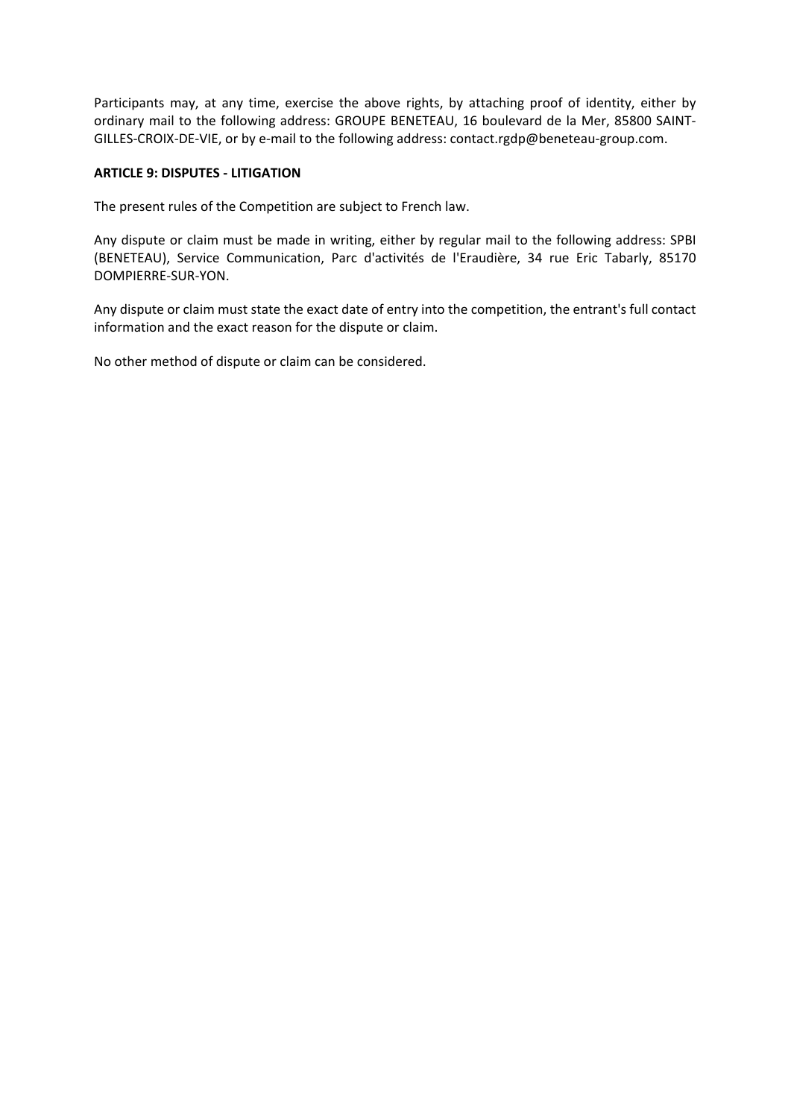Participants may, at any time, exercise the above rights, by attaching proof of identity, either by ordinary mail to the following address: GROUPE BENETEAU, 16 boulevard de la Mer, 85800 SAINT-GILLES-CROIX-DE-VIE, or by e-mail to the following address: contact.rgdp@beneteau-group.com.

#### **ARTICLE 9: DISPUTES - LITIGATION**

The present rules of the Competition are subject to French law.

Any dispute or claim must be made in writing, either by regular mail to the following address: SPBI (BENETEAU), Service Communication, Parc d'activités de l'Eraudière, 34 rue Eric Tabarly, 85170 DOMPIERRE-SUR-YON.

Any dispute or claim must state the exact date of entry into the competition, the entrant's full contact information and the exact reason for the dispute or claim.

No other method of dispute or claim can be considered.